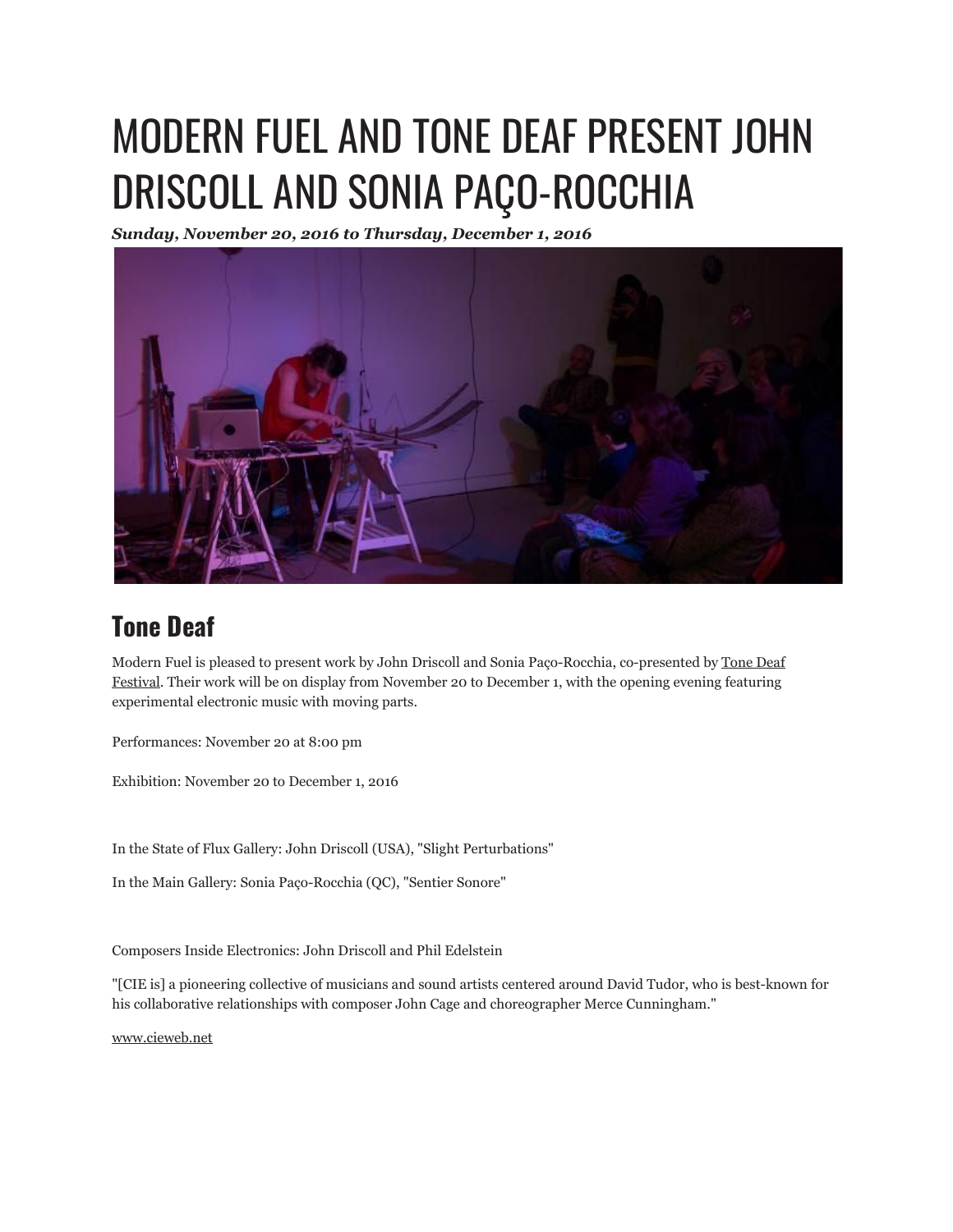## MODERN FUEL AND TONE DEAF PRESENT JOHN DRISCOLL AND SONIA PAÇO-ROCCHIA

*Sunday, November 20, 2016 to Thursday, December 1, 2016*



## **Tone Deaf**

Modern Fuel is pleased to present work by John Driscoll and Sonia Paço-Rocchia, co-presented by Tone Deaf Festival. Their work will be on display from November 20 to December 1, with the opening evening featuring experimental electronic music with moving parts.

Performances: November 20 at 8:00 pm

Exhibition: November 20 to December 1, 2016

In the State of Flux Gallery: John Driscoll (USA), "Slight Perturbations"

In the Main Gallery: Sonia Paço-Rocchia (QC), "Sentier Sonore"

Composers Inside Electronics: John Driscoll and Phil Edelstein

"[CIE is] a pioneering collective of musicians and sound artists centered around David Tudor, who is best-known for his collaborative relationships with composer John Cage and choreographer Merce Cunningham."

www.cieweb.net